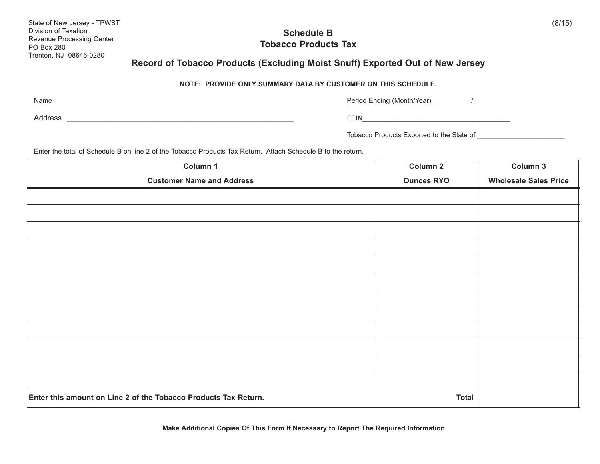| State of New Jersey - TPWST<br>Division of Taxation<br>Revenue Processing Center<br><b>PO Box 280</b> | <b>Schedule B</b><br><b>Tobacco Products Tax</b>                                                                     |                                           | (8/15)               |  |
|-------------------------------------------------------------------------------------------------------|----------------------------------------------------------------------------------------------------------------------|-------------------------------------------|----------------------|--|
| Trenton, NJ 08646-0280                                                                                | Record of Tobacco Products (Excluding Moist Snuff) Exported Out of New Jersey                                        |                                           |                      |  |
| <b>NOTE: PROVIDE ONLY SUMMARY DATA BY CUSTOMER ON THIS SCHEDULE.</b>                                  |                                                                                                                      |                                           |                      |  |
| Name                                                                                                  |                                                                                                                      | Period Ending (Month/Year) /              |                      |  |
| Address                                                                                               | <u> 1980 - Jan James James James James James James James James James James James James James James James James J</u> | FEIN <b>Example 2018</b>                  |                      |  |
|                                                                                                       |                                                                                                                      | Tobacco Products Exported to the State of |                      |  |
|                                                                                                       | Enter the total of Schedule B on line 2 of the Tobacco Products Tax Return. Attach Schedule B to the return.         |                                           |                      |  |
|                                                                                                       |                                                                                                                      | $\sim$ $\sim$ $\sim$ $\sim$               | $\sim$ $\sim$ $\sim$ |  |

| Column 1                                                        | Column 2          | Column 3                     |
|-----------------------------------------------------------------|-------------------|------------------------------|
| <b>Customer Name and Address</b>                                | <b>Ounces RYO</b> | <b>Wholesale Sales Price</b> |
|                                                                 |                   |                              |
|                                                                 |                   |                              |
|                                                                 |                   |                              |
|                                                                 |                   |                              |
|                                                                 |                   |                              |
|                                                                 |                   |                              |
|                                                                 |                   |                              |
|                                                                 |                   |                              |
|                                                                 |                   |                              |
|                                                                 |                   |                              |
|                                                                 |                   |                              |
|                                                                 |                   |                              |
| Enter this amount on Line 2 of the Tobacco Products Tax Return. |                   |                              |